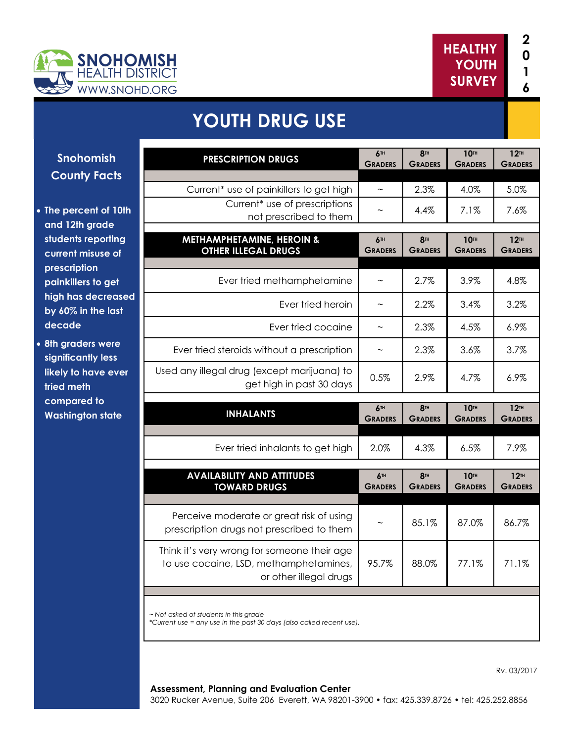



# **YOUTH DRUG USE**

**Snohomish County Facts**

- **The percent of 10th and 12th grade students reporting current misuse of prescription painkillers to get high has decreased by 60% in the last decade**
- **8th graders were significantly less likely to have ever tried meth compared to Washington state**

| <b>PRESCRIPTION DRUGS</b>                                                             | 6TH<br><b>GRADERS</b>        | 8TH<br><b>GRADERS</b>        | 10TH<br><b>GRADERS</b>        | 12 <sup>TH</sup><br><b>GRADERS</b> |
|---------------------------------------------------------------------------------------|------------------------------|------------------------------|-------------------------------|------------------------------------|
|                                                                                       |                              |                              |                               |                                    |
| Current* use of painkillers to get high                                               |                              | 2.3%                         | 4.0%                          | 5.0%                               |
| Current <sup>*</sup> use of prescriptions<br>not prescribed to them                   |                              | $4.4\%$                      | 7.1%                          | 7.6%                               |
|                                                                                       |                              |                              |                               |                                    |
| METHAMPHETAMINE, HEROIN &<br><b>OTHER ILLEGAL DRUGS</b>                               | <b>6TH</b><br><b>GRADERS</b> | <b>8TH</b><br><b>GRADERS</b> | <b>10TH</b><br><b>GRADERS</b> | 12 <sup>TH</sup><br><b>GRADERS</b> |
|                                                                                       |                              |                              |                               |                                    |
| Ever tried methamphetamine                                                            | $\thicksim$                  | 2.7%                         | 3.9%                          | 4.8%                               |
| Ever tried heroin                                                                     | $\sim$                       | 2.2%                         | 3.4%                          | 3.2%                               |
| Ever tried cocaine                                                                    | $\tilde{\phantom{a}}$        | 2.3%                         | 4.5%                          | 6.9%                               |
| Ever tried steroids without a prescription                                            | $\tilde{}$                   | 2.3%                         | 3.6%                          | 3.7%                               |
| Used any illegal drug (except marijuana) to<br>get high in past 30 days               | 0.5%                         | 2.9%                         | 4.7%                          | 6.9%                               |
|                                                                                       |                              |                              |                               |                                    |
|                                                                                       |                              |                              |                               |                                    |
| <b>INHALANTS</b>                                                                      | <b>6TH</b><br><b>GRADERS</b> | <b>8TH</b><br><b>GRADERS</b> | 10TH<br><b>GRADERS</b>        | 12TH<br><b>GRADERS</b>             |
|                                                                                       |                              |                              |                               |                                    |
| Ever tried inhalants to get high                                                      | 2.0%                         | 4.3%                         | 6.5%                          | 7.9%                               |
| <b>AVAILABILITY AND ATTITUDES</b><br><b>TOWARD DRUGS</b>                              | 6TH<br><b>GRADERS</b>        | <b>8TH</b><br><b>GRADERS</b> | <b>10TH</b><br><b>GRADERS</b> | 12 <sup>TH</sup><br><b>GRADERS</b> |
|                                                                                       |                              |                              |                               |                                    |
| Perceive moderate or great risk of using<br>prescription drugs not prescribed to them | $\widetilde{\phantom{m}}$    | 85.1%                        | 87.0%                         | 86.7%                              |
| Think it's very wrong for someone their age                                           |                              |                              |                               |                                    |
| to use cocaine, LSD, methamphetamines,<br>or other illegal drugs                      | 95.7%                        | 88.0%                        | 77.1%                         | 71.1%                              |
|                                                                                       |                              |                              |                               |                                    |

Rv. 03/2017

#### **Assessment, Planning and Evaluation Center**

3020 Rucker Avenue, Suite 206 Everett, WA 98201-3900 • fax: 425.339.8726 • tel: 425.252.8856